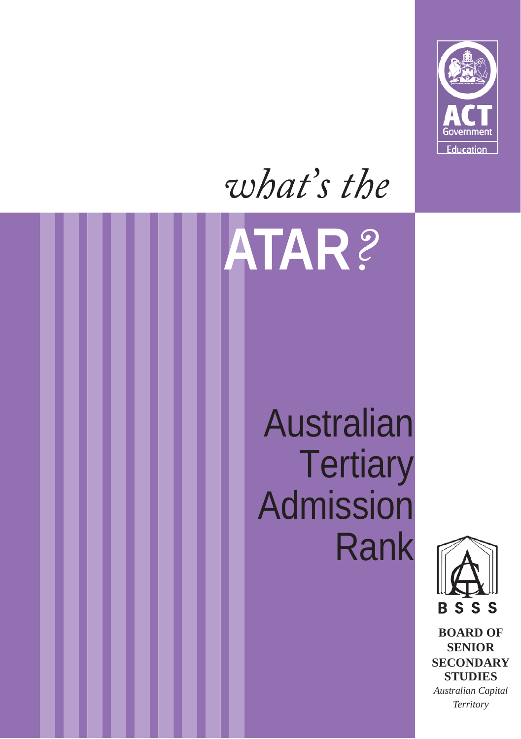

## what's the **ATAR**

### Australian **Tertiary** Admission Rank



**BOARD OF SENIOR SECONDARY STUDIES** *Australian Capital Territory*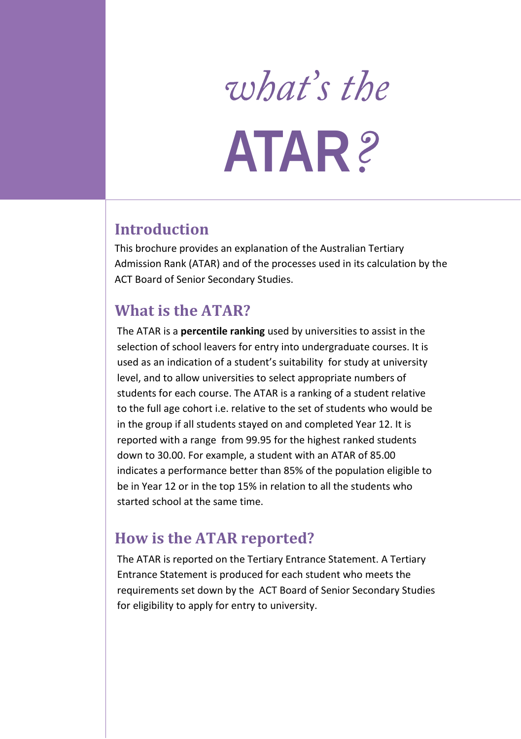# what's the **ATAR**

#### **Introduction**

This brochure provides an explanation of the Australian Tertiary Admission Rank (ATAR) and of the processes used in its calculation by the ACT Board of Senior Secondary Studies.

#### **What is the ATAR?**

The ATAR is a **percentile ranking** used by universities to assist in the selection of school leavers for entry into undergraduate courses. It is used as an indication of a student's suitability for study at university level, and to allow universities to select appropriate numbers of students for each course. The ATAR is a ranking of a student relative to the full age cohort i.e. relative to the set of students who would be in the group if all students stayed on and completed Year 12. It is reported with a range from 99.95 for the highest ranked students down to 30.00. For example, a student with an ATAR of 85.00 indicates a performance better than 85% of the population eligible to be in Year 12 or in the top 15% in relation to all the students who started school at the same time.

#### **How is the ATAR reported?**

The ATAR is reported on the Tertiary Entrance Statement. A Tertiary Entrance Statement is produced for each student who meets the requirements set down by the ACT Board of Senior Secondary Studies for eligibility to apply for entry to university.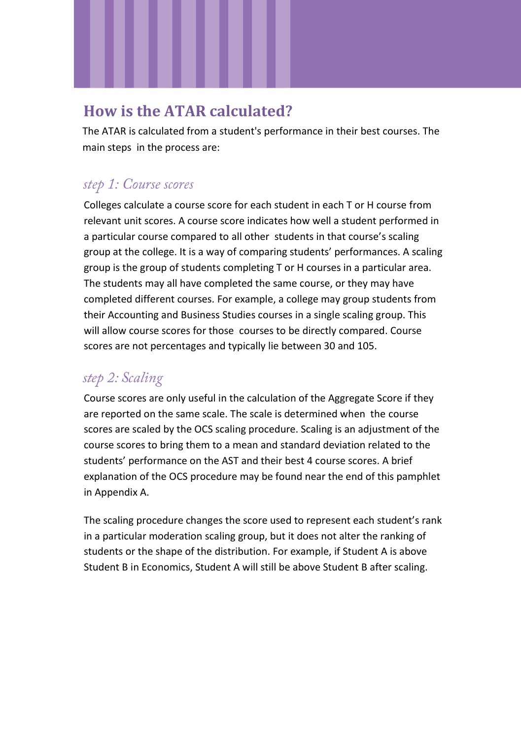#### **How is the ATAR calculated?**

The ATAR is calculated from a student's performance in their best courses. The main steps in the process are:

#### step 1: Course scores

Colleges calculate a course score for each student in each T or H course from relevant unit scores. A course score indicates how well a student performed in a particular course compared to all other students in that course's scaling group at the college. It is a way of comparing students' performances. A scaling group is the group of students completing T or H courses in a particular area. The students may all have completed the same course, or they may have completed different courses. For example, a college may group students from their Accounting and Business Studies courses in a single scaling group. This will allow course scores for those courses to be directly compared. Course scores are not percentages and typically lie between 30 and 105.

#### step 2: Scaling

Course scores are only useful in the calculation of the Aggregate Score if they are reported on the same scale. The scale is determined when the course scores are scaled by the OCS scaling procedure. Scaling is an adjustment of the course scores to bring them to a mean and standard deviation related to the students' performance on the AST and their best 4 course scores. A brief explanation of the OCS procedure may be found near the end of this pamphlet in Appendix A.

The scaling procedure changes the score used to represent each student's rank in a particular moderation scaling group, but it does not alter the ranking of students or the shape of the distribution. For example, if Student A is above Student B in Economics, Student A will still be above Student B after scaling.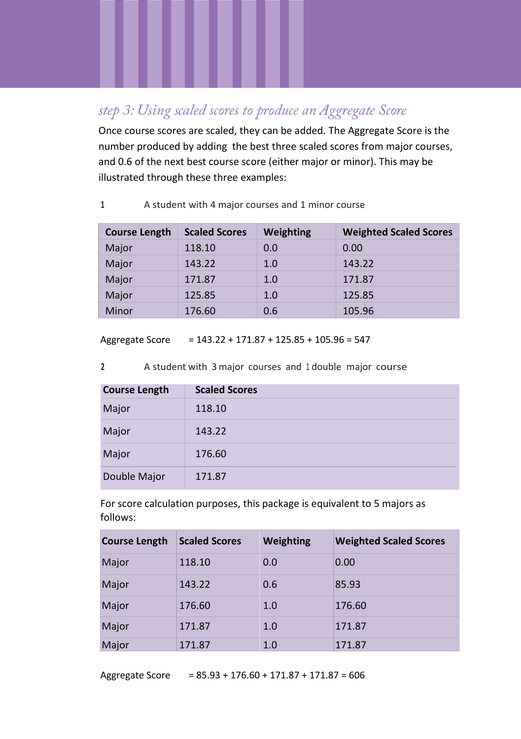#### step 3: Using scaled scores to produce an Aggregate Score

Once course scores are scaled, they can be added. The Aggregate Score is the number produced by adding the best three scaled scores from major courses, and 0.6 of the next best course score (either major or minor). This may be illustrated through these three examples:

|  | A student with 4 major courses and 1 minor course |  |  |  |  |  |  |  |
|--|---------------------------------------------------|--|--|--|--|--|--|--|
|--|---------------------------------------------------|--|--|--|--|--|--|--|

| <b>Course Length</b> | <b>Scaled Scores</b> | Weighting | <b>Weighted Scaled Scores</b> |
|----------------------|----------------------|-----------|-------------------------------|
| Major                | 118.10               | 0.0       | 0.00                          |
| Major                | 143.22               | 1.0       | 143.22                        |
| Major                | 171.87               | 1.0       | 171.87                        |
| Major                | 125.85               | 1.0       | 125.85                        |
| Minor                | 176.60               | 0.6       | 105.96                        |

Aggregate Score = 143.22 + 171.87 + 125.85 + 105.96 = 547

**<sup>2</sup>** A student with 3 major courses and 1 double major course

| <b>Course Length</b> | <b>Scaled Scores</b> |
|----------------------|----------------------|
| Major                | 118.10               |
| Major                | 143.22               |
| Major                | 176.60               |
| Double Major         | 171.87               |

For score calculation purposes, this package is equivalent to 5 majors as follows:

| <b>Course Length</b> | <b>Scaled Scores</b> | Weighting | <b>Weighted Scaled Scores</b> |
|----------------------|----------------------|-----------|-------------------------------|
| Major                | 118.10               | 0.0       | 0.00                          |
| Major                | 143.22               | 0.6       | 85.93                         |
| Major                | 176.60               | 1.0       | 176.60                        |
| Major                | 171.87               | 1.0       | 171.87                        |
| Major                | 171.87               | 1.0       | 171.87                        |

Aggregate Score = 85.93 + 176.60 + 171.87 + 171.87 = 606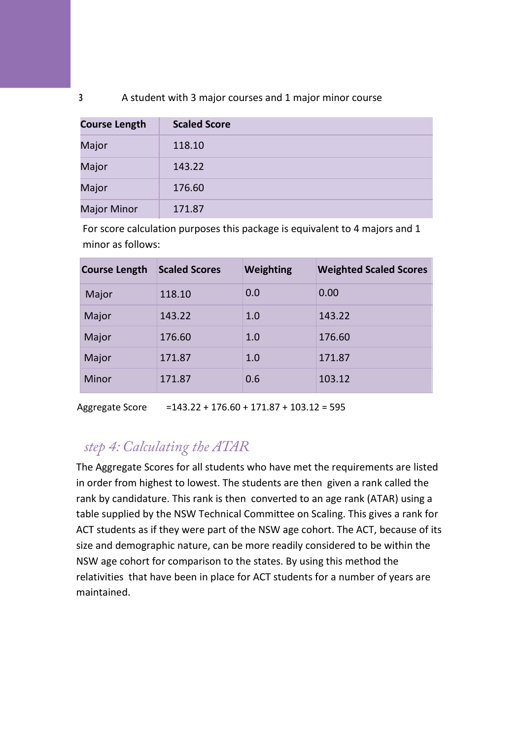#### **3** A student with 3 major courses and 1 major minor course

| <b>Course Length</b> | <b>Scaled Score</b> |
|----------------------|---------------------|
| Major                | 118.10              |
| Major                | 143.22              |
| Major                | 176.60              |
| <b>Major Minor</b>   | 171.87              |

For score calculation purposes this package is equivalent to 4 majors and 1 minor as follows:

| <b>Course Length</b> | <b>Scaled Scores</b> | <b>Weighting</b> | <b>Weighted Scaled Scores</b> |
|----------------------|----------------------|------------------|-------------------------------|
| Major                | 118.10               | 0.0              | 0.00                          |
| Major                | 143.22               | 1.0              | 143.22                        |
| Major                | 176.60               | 1.0              | 176.60                        |
| Major                | 171.87               | 1.0              | 171.87                        |
| Minor                | 171.87               | 0.6              | 103.12                        |

Aggregate Score =143.22 + 176.60 + 171.87 + 103.12 = 595

#### step 4: Calculating the ATAR

The Aggregate Scores for all students who have met the requirements are listed in order from highest to lowest. The students are then given a rank called the rank by candidature. This rank is then converted to an age rank (ATAR) using a table supplied by the NSW Technical Committee on Scaling. This gives a rank for ACT students as if they were part of the NSW age cohort. The ACT, because of its size and demographic nature, can be more readily considered to be within the NSW age cohort for comparison to the states. By using this method the relativities that have been in place for ACT students for a number of years are maintained.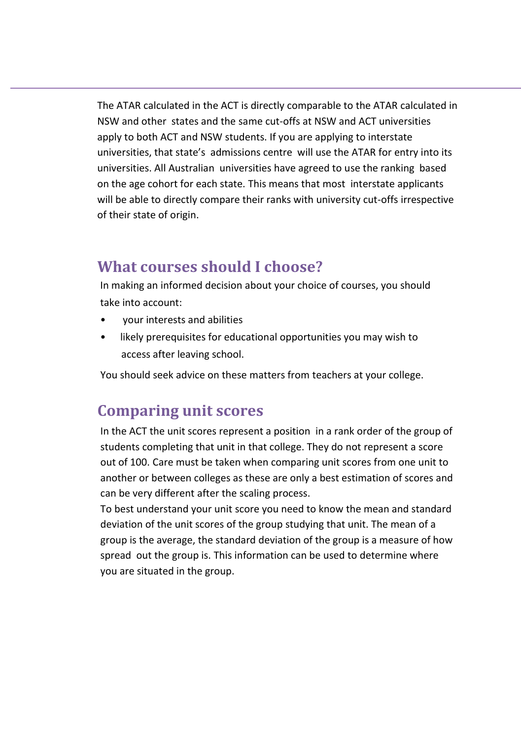The ATAR calculated in the ACT is directly comparable to the ATAR calculated in NSW and other states and the same cut-offs at NSW and ACT universities apply to both ACT and NSW students. If you are applying to interstate universities, that state's admissions centre will use the ATAR for entry into its universities. All Australian universities have agreed to use the ranking based on the age cohort for each state. This means that most interstate applicants will be able to directly compare their ranks with university cut-offs irrespective of their state of origin.

#### **What courses should I choose?**

In making an informed decision about your choice of courses, you should take into account:

- your interests and abilities
- likely prerequisites for educational opportunities you may wish to access after leaving school.

You should seek advice on these matters from teachers at your college.

#### **Comparing unit scores**

In the ACT the unit scores represent a position in a rank order of the group of students completing that unit in that college. They do not represent a score out of 100. Care must be taken when comparing unit scores from one unit to another or between colleges as these are only a best estimation of scores and can be very different after the scaling process.

To best understand your unit score you need to know the mean and standard deviation of the unit scores of the group studying that unit. The mean of a group is the average, the standard deviation of the group is a measure of how spread out the group is. This information can be used to determine where you are situated in the group.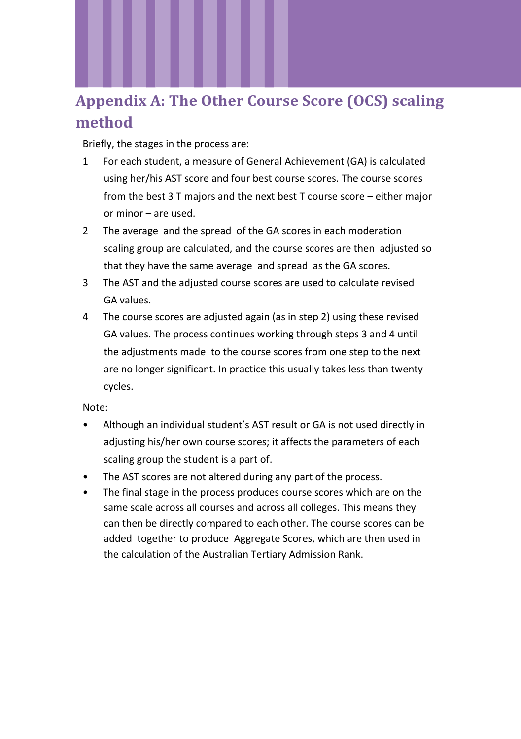### **Appendix A: The Other Course Score (OCS) scaling method**

Briefly, the stages in the process are:

- 1 For each student, a measure of General Achievement (GA) is calculated using her/his AST score and four best course scores. The course scores from the best 3 T majors and the next best T course score – either major or minor – are used.
- 2 The average and the spread of the GA scores in each moderation scaling group are calculated, and the course scores are then adjusted so that they have the same average and spread as the GA scores.
- 3 The AST and the adjusted course scores are used to calculate revised GA values.
- 4 The course scores are adjusted again (as in step 2) using these revised GA values. The process continues working through steps 3 and 4 until the adjustments made to the course scores from one step to the next are no longer significant. In practice this usually takes less than twenty cycles.

Note:

- Although an individual student's AST result or GA is not used directly in adjusting his/her own course scores; it affects the parameters of each scaling group the student is a part of.
- The AST scores are not altered during any part of the process.
- The final stage in the process produces course scores which are on the same scale across all courses and across all colleges. This means they can then be directly compared to each other. The course scores can be added together to produce Aggregate Scores, which are then used in the calculation of the Australian Tertiary Admission Rank.